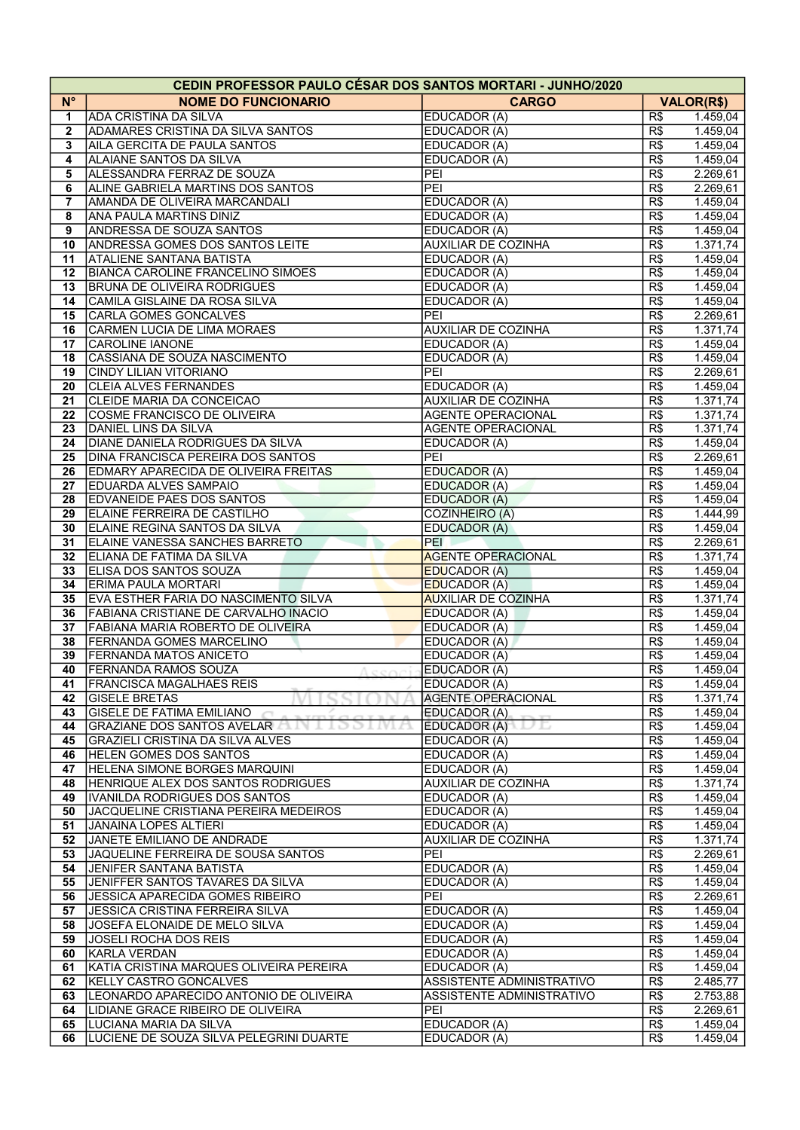|                         | <b>CEDIN PROFESSOR PAULO CÉSAR DOS SANTOS MORTARI - JUNHO/2020</b> |                            |            |                      |  |  |  |  |
|-------------------------|--------------------------------------------------------------------|----------------------------|------------|----------------------|--|--|--|--|
| $N^{\circ}$             | <b>NOME DO FUNCIONARIO</b>                                         | <b>CARGO</b>               |            | <b>VALOR(R\$)</b>    |  |  |  |  |
| 1                       | ADA CRISTINA DA SILVA                                              | EDUCADOR (A)               | R\$        | 1.459,04             |  |  |  |  |
| $\mathbf{2}$            | <b>ADAMARES CRISTINA DA SILVA SANTOS</b>                           | EDUCADOR (A)               | R\$        | 1.459,04             |  |  |  |  |
| 3                       | AILA GERCITA DE PAULA SANTOS                                       | EDUCADOR (A)               | R\$        | 1.459,04             |  |  |  |  |
| $\overline{\mathbf{4}}$ | ALAIANE SANTOS DA SILVA                                            | EDUCADOR (A)               | R\$        | 1.459,04             |  |  |  |  |
| 5                       | ALESSANDRA FERRAZ DE SOUZA                                         | PEI                        | R\$        | 2.269,61             |  |  |  |  |
| 6                       | ALINE GABRIELA MARTINS DOS SANTOS                                  | PEI                        | R\$        | 2.269,61             |  |  |  |  |
| 7                       | AMANDA DE OLIVEIRA MARCANDALI                                      | EDUCADOR (A)               | R\$        | 1.459,04             |  |  |  |  |
| 8                       | ANA PAULA MARTINS DINIZ                                            | EDUCADOR (A)               | R\$        | 1.459,04             |  |  |  |  |
| 9                       | <b>ANDRESSA DE SOUZA SANTOS</b>                                    | EDUCADOR (A)               | R\$        | 1.459,04             |  |  |  |  |
| 10                      | ANDRESSA GOMES DOS SANTOS LEITE                                    | <b>AUXILIAR DE COZINHA</b> | R\$        | 1.371,74             |  |  |  |  |
| 11                      | <b>ATALIENE SANTANA BATISTA</b>                                    | EDUCADOR (A)               | R\$        | 1.459,04             |  |  |  |  |
|                         |                                                                    |                            |            |                      |  |  |  |  |
| 12                      | <b>BIANCA CAROLINE FRANCELINO SIMOES</b>                           | EDUCADOR (A)               | R\$        | 1.459,04             |  |  |  |  |
| 13                      | <b>BRUNA DE OLIVEIRA RODRIGUES</b>                                 | EDUCADOR (A)               | R\$        | 1.459,04             |  |  |  |  |
| 14                      | CAMILA GISLAINE DA ROSA SILVA                                      | EDUCADOR (A)               | R\$        | 1.459,04             |  |  |  |  |
| 15                      | CARLA GOMES GONCALVES                                              | PEI                        | R\$        | 2.269,61             |  |  |  |  |
| 16                      | CARMEN LUCIA DE LIMA MORAES                                        | <b>AUXILIAR DE COZINHA</b> | R\$        | 1.371,74             |  |  |  |  |
| 17                      | <b>CAROLINE IANONE</b>                                             | EDUCADOR (A)               | R\$        | 1.459,04             |  |  |  |  |
| 18                      | CASSIANA DE SOUZA NASCIMENTO                                       | EDUCADOR (A)               | R\$        | 1.459,04             |  |  |  |  |
| 19                      | <b>CINDY LILIAN VITORIANO</b>                                      | PEI                        | R\$        | 2.269,61             |  |  |  |  |
| 20                      | <b>CLEIA ALVES FERNANDES</b>                                       | EDUCADOR (A)               | R\$        | 1.459,04             |  |  |  |  |
| 21                      | CLEIDE MARIA DA CONCEICAO                                          | <b>AUXILIAR DE COZINHA</b> | R\$        | 1.371,74             |  |  |  |  |
| 22                      | COSME FRANCISCO DE OLIVEIRA                                        | <b>AGENTE OPERACIONAL</b>  | R\$        | 1.371,74             |  |  |  |  |
| 23                      | <b>DANIEL LINS DA SILVA</b>                                        | <b>AGENTE OPERACIONAL</b>  | R\$        | 1.371,74             |  |  |  |  |
| 24                      | DIANE DANIELA RODRIGUES DA SILVA                                   | EDUCADOR (A)               | R\$        | 1.459,04             |  |  |  |  |
| 25                      | DINA FRANCISCA PEREIRA DOS SANTOS                                  | PEI                        | R\$        | 2.269,61             |  |  |  |  |
| 26                      | <b>EDMARY APARECIDA DE OLIVEIRA FREITAS</b>                        | EDUCADOR (A)               | R\$        | 1.459,04             |  |  |  |  |
| 27                      | <b>EDUARDA ALVES SAMPAIO</b>                                       | EDUCADOR (A)               | R\$        | 1.459,04             |  |  |  |  |
| 28                      | <b>EDVANEIDE PAES DOS SANTOS</b>                                   | <b>EDUCADOR (A)</b>        | R\$        | 1.459,04             |  |  |  |  |
| 29                      | ELAINE FERREIRA DE CASTILHO                                        | <b>COZINHEIRO (A)</b>      | R\$        | 1.444,99             |  |  |  |  |
| 30                      | ELAINE REGINA SANTOS DA SILVA                                      | EDUCADOR (A)               | R\$        | 1.459,04             |  |  |  |  |
| 31                      | ELAINE VANESSA SANCHES BARRETO                                     | PEI                        | R\$        | 2.269,61             |  |  |  |  |
| 32                      | ELIANA DE FATIMA DA SILVA                                          | <b>AGENTE OPERACIONAL</b>  | R\$        | 1.371,74             |  |  |  |  |
| 33                      | ELISA DOS SANTOS SOUZA                                             | <b>EDUCADOR (A)</b>        | R\$        | 1.459,04             |  |  |  |  |
| 34                      | <b>ERIMA PAULA MORTARI</b>                                         | <b>EDUCADOR (A)</b>        | R\$        | 1.459,04             |  |  |  |  |
| 35                      | EVA ESTHER FARIA DO NASCIMENTO SILVA                               | <b>AUXILIAR DE COZINHA</b> | R\$        | 1.371,74             |  |  |  |  |
| 36                      | FABIANA CRISTIANE DE CARVALHO INACIO                               | <b>EDUCADOR (A)</b>        | R\$        | 1.459,04             |  |  |  |  |
| 37                      | <b>FABIANA MARIA ROBERTO DE OLIVEIRA</b>                           | EDUCADOR (A)               | R\$        | 1.459,04             |  |  |  |  |
| 38                      | <b>FERNANDA GOMES MARCELINO</b>                                    | EDUCADOR (A)               | R\$        | 1.459,04             |  |  |  |  |
| 39                      | <b>FERNANDA MATOS ANICETO</b>                                      | EDUCADOR (A)               | R\$        | 1.459,04             |  |  |  |  |
| 40                      | <b>FERNANDA RAMOS SOUZA</b>                                        | EDUCADOR (A)               | R\$        | 1.459,04             |  |  |  |  |
| 41                      | FRANCISCA MAGALHAES REIS                                           | EDUCADOR (A)               | R\$        | 1.459,04             |  |  |  |  |
| 42                      | <b>GISELE BRETAS</b>                                               | <b>AGENTE OPERACIONAL</b>  | R\$        | 1.371,74             |  |  |  |  |
| 43                      | <b>GISELE DE FATIMA EMILIANO</b>                                   | EDUCADOR (A)               | R\$        | 1.459,04             |  |  |  |  |
| 44                      | GRAZIANE DOS SANTOS AVELAR<br>1991                                 | EDUCADOR (A)<br>vd         | R\$        | 1.459,04             |  |  |  |  |
| 45                      | GRAZIELI CRISTINA DA SILVA ALVES                                   | EDUCADOR (A)               | R\$        | 1.459,04             |  |  |  |  |
| 46                      | HELEN GOMES DOS SANTOS                                             | EDUCADOR (A)               | R\$        | 1.459,04             |  |  |  |  |
| 47                      | HELENA SIMONE BORGES MARQUINI                                      | EDUCADOR (A)               | R\$        | 1.459,04             |  |  |  |  |
| 48                      | HENRIQUE ALEX DOS SANTOS RODRIGUES                                 | <b>AUXILIAR DE COZINHA</b> | R\$        | 1.371,74             |  |  |  |  |
| 49                      | IVANILDA RODRIGUES DOS SANTOS                                      | EDUCADOR (A)               | R\$        | 1.459,04             |  |  |  |  |
| 50                      | JACQUELINE CRISTIANA PEREIRA MEDEIROS                              | EDUCADOR (A)               | R\$        | 1.459,04             |  |  |  |  |
| 51                      | JANAINA LOPES ALTIERI                                              | EDUCADOR (A)               | R\$        | 1.459,04             |  |  |  |  |
| 52                      | JANETE EMILIANO DE ANDRADE                                         | <b>AUXILIAR DE COZINHA</b> | R\$        | 1.371,74             |  |  |  |  |
|                         |                                                                    | PEI                        |            |                      |  |  |  |  |
| 53<br>54                | JAQUELINE FERREIRA DE SOUSA SANTOS<br>JENIFER SANTANA BATISTA      | EDUCADOR (A)               | R\$<br>R\$ | 2.269,61<br>1.459,04 |  |  |  |  |
|                         |                                                                    |                            |            |                      |  |  |  |  |
| 55                      | JENIFFER SANTOS TAVARES DA SILVA                                   | EDUCADOR (A)<br>PEI        | R\$        | 1.459,04             |  |  |  |  |
| 56                      | <b>JESSICA APARECIDA GOMES RIBEIRO</b>                             |                            | R\$        | 2.269,61             |  |  |  |  |
| 57                      | <b>JESSICA CRISTINA FERREIRA SILVA</b>                             | EDUCADOR (A)               | R\$        | 1.459,04             |  |  |  |  |
| 58                      | JOSEFA ELONAIDE DE MELO SILVA                                      | EDUCADOR (A)               | R\$        | 1.459,04             |  |  |  |  |
| 59                      | <b>JOSELI ROCHA DOS REIS</b>                                       | EDUCADOR (A)               | R\$        | 1.459,04             |  |  |  |  |
| 60                      | KARLA VERDAN                                                       | EDUCADOR (A)               | R\$        | 1.459,04             |  |  |  |  |
| 61                      | KATIA CRISTINA MARQUES OLIVEIRA PEREIRA                            | EDUCADOR (A)               | R\$        | 1.459,04             |  |  |  |  |
| 62                      | KELLY CASTRO GONCALVES                                             | ASSISTENTE ADMINISTRATIVO  | R\$        | 2.485,77             |  |  |  |  |
| 63                      | LEONARDO APARECIDO ANTONIO DE OLIVEIRA                             | ASSISTENTE ADMINISTRATIVO  | R\$        | 2.753,88             |  |  |  |  |
| 64                      | LIDIANE GRACE RIBEIRO DE OLIVEIRA                                  | PEI                        | R\$        | 2.269,61             |  |  |  |  |
| 65                      | LUCIANA MARIA DA SILVA                                             | EDUCADOR (A)               | R\$        | 1.459,04             |  |  |  |  |
| 66                      | LUCIENE DE SOUZA SILVA PELEGRINI DUARTE                            | EDUCADOR (A)               | R\$        | 1.459,04             |  |  |  |  |